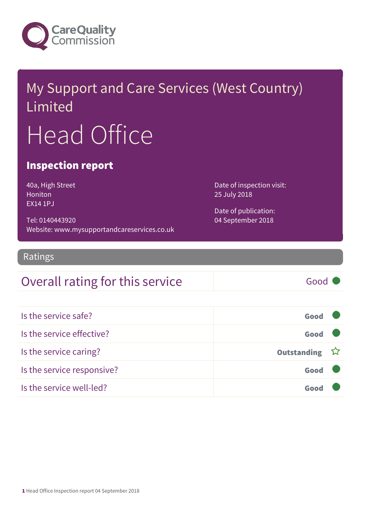

# My Support and Care Services (West Country) Limited Head Office

#### Inspection report

40a, High Street Honiton EX14 1PJ

Tel: 0140443920 Website: www.mysupportandcareservices.co.uk Date of inspection visit: 25 July 2018

Date of publication: 04 September 2018

Ratings

#### Overall rating for this service and all the Good

Is the service safe? Good Is the service effective? Good Is the service caring? The service caring outstanding in the service caring outstanding ☆ Is the service responsive? Good Is the service well-led? Good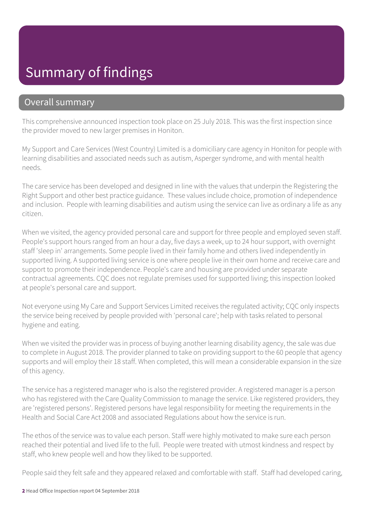## Summary of findings

#### Overall summary

This comprehensive announced inspection took place on 25 July 2018. This was the first inspection since the provider moved to new larger premises in Honiton.

My Support and Care Services (West Country) Limited is a domiciliary care agency in Honiton for people with learning disabilities and associated needs such as autism, Asperger syndrome, and with mental health needs.

The care service has been developed and designed in line with the values that underpin the Registering the Right Support and other best practice guidance. These values include choice, promotion of independence and inclusion. People with learning disabilities and autism using the service can live as ordinary a life as any citizen.

When we visited, the agency provided personal care and support for three people and employed seven staff. People's support hours ranged from an hour a day, five days a week, up to 24 hour support, with overnight staff 'sleep in' arrangements. Some people lived in their family home and others lived independently in supported living. A supported living service is one where people live in their own home and receive care and support to promote their independence. People's care and housing are provided under separate contractual agreements. CQC does not regulate premises used for supported living; this inspection looked at people's personal care and support.

Not everyone using My Care and Support Services Limited receives the regulated activity; CQC only inspects the service being received by people provided with 'personal care'; help with tasks related to personal hygiene and eating.

When we visited the provider was in process of buying another learning disability agency, the sale was due to complete in August 2018. The provider planned to take on providing support to the 60 people that agency supports and will employ their 18 staff. When completed, this will mean a considerable expansion in the size of this agency.

The service has a registered manager who is also the registered provider. A registered manager is a person who has registered with the Care Quality Commission to manage the service. Like registered providers, they are 'registered persons'. Registered persons have legal responsibility for meeting the requirements in the Health and Social Care Act 2008 and associated Regulations about how the service is run.

The ethos of the service was to value each person. Staff were highly motivated to make sure each person reached their potential and lived life to the full. People were treated with utmost kindness and respect by staff, who knew people well and how they liked to be supported.

People said they felt safe and they appeared relaxed and comfortable with staff. Staff had developed caring,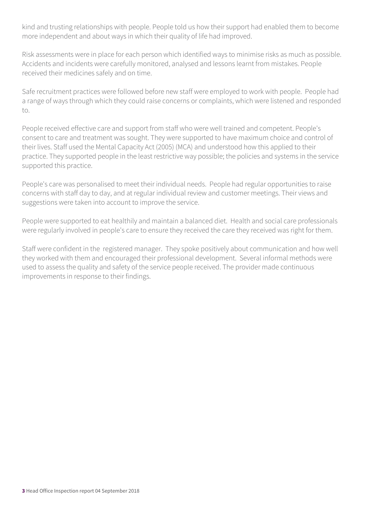kind and trusting relationships with people. People told us how their support had enabled them to become more independent and about ways in which their quality of life had improved.

Risk assessments were in place for each person which identified ways to minimise risks as much as possible. Accidents and incidents were carefully monitored, analysed and lessons learnt from mistakes. People received their medicines safely and on time.

Safe recruitment practices were followed before new staff were employed to work with people. People had a range of ways through which they could raise concerns or complaints, which were listened and responded to.

People received effective care and support from staff who were well trained and competent. People's consent to care and treatment was sought. They were supported to have maximum choice and control of their lives. Staff used the Mental Capacity Act (2005) (MCA) and understood how this applied to their practice. They supported people in the least restrictive way possible; the policies and systems in the service supported this practice.

People's care was personalised to meet their individual needs. People had regular opportunities to raise concerns with staff day to day, and at regular individual review and customer meetings. Their views and suggestions were taken into account to improve the service.

People were supported to eat healthily and maintain a balanced diet. Health and social care professionals were regularly involved in people's care to ensure they received the care they received was right for them.

Staff were confident in the registered manager. They spoke positively about communication and how well they worked with them and encouraged their professional development. Several informal methods were used to assess the quality and safety of the service people received. The provider made continuous improvements in response to their findings.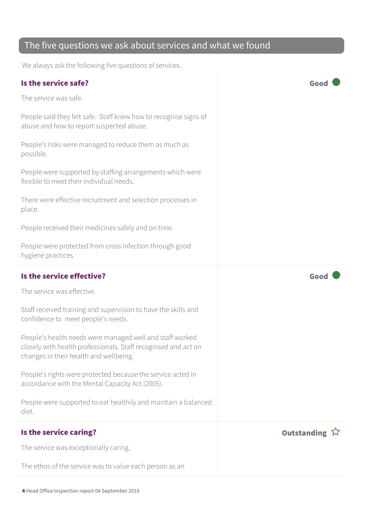#### The five questions we ask about services and what we found

We always ask the following five questions of services.

#### Is the service safe? Good

The service was safe.

People said they felt safe. Staff knew how to recognise signs of abuse and how to report suspected abuse.

People's risks were managed to reduce them as much as possible.

People were supported by staffing arrangements which were flexible to meet their individual needs.

There were effective recruitment and selection processes in place.

People received their medicines safely and on time.

People were protected from cross infection through good hygiene practices.

The service was effective.

Staff received training and supervision to have the skills and confidence to meet people's needs.

People's health needs were managed well and staff worked closely with health professionals. Staff recognised and act on changes in their health and wellbeing.

People's rights were protected because the service acted in accordance with the Mental Capacity Act (2005).

People were supported to eat healthily and maintain a balanced diet.

#### Is the service caring? The service caring  $\hat{X}$

The service was exceptionally caring.

The ethos of the service was to value each person as an

4 Head Office Inspection report 04 September 2018

Is the service effective? Good

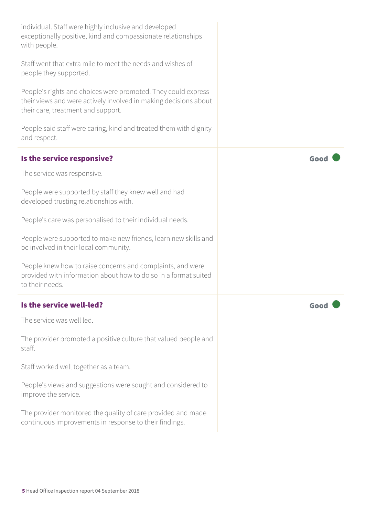| individual. Staff were highly inclusive and developed<br>exceptionally positive, kind and compassionate relationships<br>with people.                                   |      |
|-------------------------------------------------------------------------------------------------------------------------------------------------------------------------|------|
| Staff went that extra mile to meet the needs and wishes of<br>people they supported.                                                                                    |      |
| People's rights and choices were promoted. They could express<br>their views and were actively involved in making decisions about<br>their care, treatment and support. |      |
| People said staff were caring, kind and treated them with dignity<br>and respect.                                                                                       |      |
| Is the service responsive?                                                                                                                                              | Good |
| The service was responsive.                                                                                                                                             |      |
| People were supported by staff they knew well and had<br>developed trusting relationships with.                                                                         |      |
| People's care was personalised to their individual needs.                                                                                                               |      |
| People were supported to make new friends, learn new skills and<br>be involved in their local community.                                                                |      |
| People knew how to raise concerns and complaints, and were<br>provided with information about how to do so in a format suited<br>to their needs.                        |      |
| Is the service well-led?                                                                                                                                                | Goo  |
| The service was well led.                                                                                                                                               |      |
| The provider promoted a positive culture that valued people and<br>staff.                                                                                               |      |
| Staff worked well together as a team.                                                                                                                                   |      |
| People's views and suggestions were sought and considered to<br>improve the service.                                                                                    |      |
| The provider monitored the quality of care provided and made<br>continuous improvements in response to their findings.                                                  |      |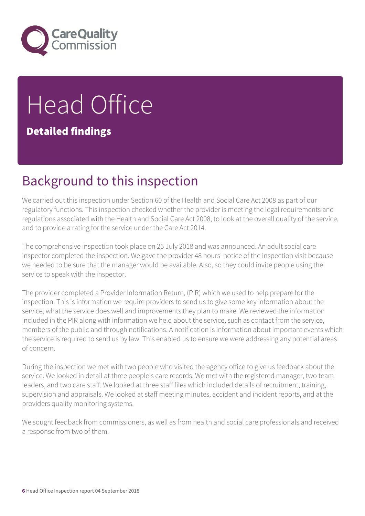

# Head Office Detailed findings

## Background to this inspection

We carried out this inspection under Section 60 of the Health and Social Care Act 2008 as part of our regulatory functions. This inspection checked whether the provider is meeting the legal requirements and regulations associated with the Health and Social Care Act 2008, to look at the overall quality of the service, and to provide a rating for the service under the Care Act 2014.

The comprehensive inspection took place on 25 July 2018 and was announced. An adult social care inspector completed the inspection. We gave the provider 48 hours' notice of the inspection visit because we needed to be sure that the manager would be available. Also, so they could invite people using the service to speak with the inspector.

The provider completed a Provider Information Return, (PIR) which we used to help prepare for the inspection. This is information we require providers to send us to give some key information about the service, what the service does well and improvements they plan to make. We reviewed the information included in the PIR along with information we held about the service, such as contact from the service, members of the public and through notifications. A notification is information about important events which the service is required to send us by law. This enabled us to ensure we were addressing any potential areas of concern.

During the inspection we met with two people who visited the agency office to give us feedback about the service. We looked in detail at three people's care records. We met with the registered manager, two team leaders, and two care staff. We looked at three staff files which included details of recruitment, training, supervision and appraisals. We looked at staff meeting minutes, accident and incident reports, and at the providers quality monitoring systems.

We sought feedback from commissioners, as well as from health and social care professionals and received a response from two of them.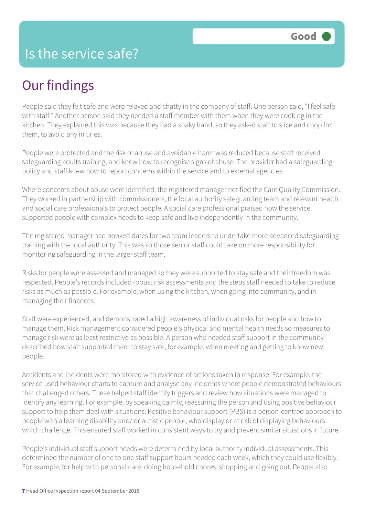#### Is the service safe?

## Our findings

People said they felt safe and were relaxed and chatty in the company of staff. One person said, "I feel safe with staff." Another person said they needed a staff member with them when they were cooking in the kitchen. They explained this was because they had a shaky hand, so they asked staff to slice and chop for them, to avoid any injuries.

People were protected and the risk of abuse and avoidable harm was reduced because staff received safeguarding adults training, and knew how to recognise signs of abuse. The provider had a safeguarding policy and staff knew how to report concerns within the service and to external agencies.

Where concerns about abuse were identified, the registered manager notified the Care Quality Commission. They worked in partnership with commissioners, the local authority safeguarding team and relevant health and social care professionals to protect people. A social care professional praised how the service supported people with complex needs to keep safe and live independently in the community.

The registered manager had booked dates for two team leaders to undertake more advanced safeguarding training with the local authority. This was so those senior staff could take on more responsibility for monitoring safeguarding in the larger staff team.

Risks for people were assessed and managed so they were supported to stay safe and their freedom was respected. People's records included robust risk assessments and the steps staff needed to take to reduce risks as much as possible. For example, when using the kitchen, when going into community, and in managing their finances.

Staff were experienced, and demonstrated a high awareness of individual risks for people and how to manage them. Risk management considered people's physical and mental health needs so measures to manage risk were as least restrictive as possible. A person who needed staff support in the community described how staff supported them to stay safe, for example, when meeting and getting to know new people.

Accidents and incidents were monitored with evidence of actions taken in response. For example, the service used behaviour charts to capture and analyse any incidents where people demonstrated behaviours that challenged others. These helped staff identify triggers and review how situations were managed to identify any learning. For example, by speaking calmly, reassuring the person and using positive behaviour support to help them deal with situations. Positive behaviour support (PBS) is a person-centred approach to people with a learning disability and/ or autistic people, who display or at risk of displaying behaviours which challenge. This ensured staff worked in consistent ways to try and prevent similar situations in future.

People's individual staff support needs were determined by local authority individual assessments. This determined the number of one to one staff support hours needed each week, which they could use flexibly. For example, for help with personal care, doing household chores, shopping and going out. People also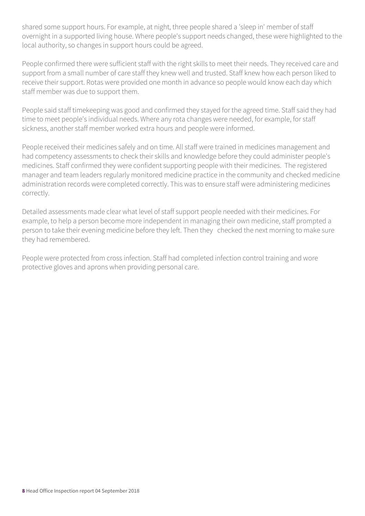shared some support hours. For example, at night, three people shared a 'sleep in' member of staff overnight in a supported living house. Where people's support needs changed, these were highlighted to the local authority, so changes in support hours could be agreed.

People confirmed there were sufficient staff with the right skills to meet their needs. They received care and support from a small number of care staff they knew well and trusted. Staff knew how each person liked to receive their support. Rotas were provided one month in advance so people would know each day which staff member was due to support them.

People said staff timekeeping was good and confirmed they stayed for the agreed time. Staff said they had time to meet people's individual needs. Where any rota changes were needed, for example, for staff sickness, another staff member worked extra hours and people were informed.

People received their medicines safely and on time. All staff were trained in medicines management and had competency assessments to check their skills and knowledge before they could administer people's medicines. Staff confirmed they were confident supporting people with their medicines. The registered manager and team leaders regularly monitored medicine practice in the community and checked medicine administration records were completed correctly. This was to ensure staff were administering medicines correctly.

Detailed assessments made clear what level of staff support people needed with their medicines. For example, to help a person become more independent in managing their own medicine, staff prompted a person to take their evening medicine before they left. Then they checked the next morning to make sure they had remembered.

People were protected from cross infection. Staff had completed infection control training and wore protective gloves and aprons when providing personal care.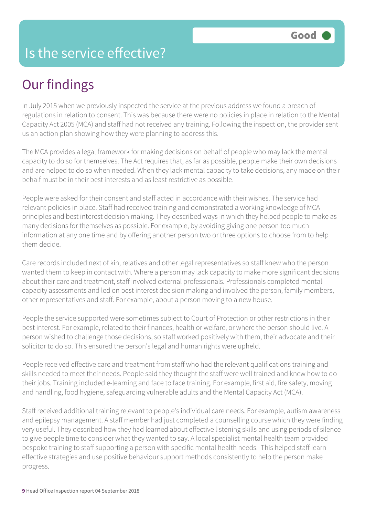#### Is the service effective?

## Our findings

In July 2015 when we previously inspected the service at the previous address we found a breach of regulations in relation to consent. This was because there were no policies in place in relation to the Mental Capacity Act 2005 (MCA) and staff had not received any training. Following the inspection, the provider sent us an action plan showing how they were planning to address this.

The MCA provides a legal framework for making decisions on behalf of people who may lack the mental capacity to do so for themselves. The Act requires that, as far as possible, people make their own decisions and are helped to do so when needed. When they lack mental capacity to take decisions, any made on their behalf must be in their best interests and as least restrictive as possible.

People were asked for their consent and staff acted in accordance with their wishes. The service had relevant policies in place. Staff had received training and demonstrated a working knowledge of MCA principles and best interest decision making. They described ways in which they helped people to make as many decisions for themselves as possible. For example, by avoiding giving one person too much information at any one time and by offering another person two or three options to choose from to help them decide.

Care records included next of kin, relatives and other legal representatives so staff knew who the person wanted them to keep in contact with. Where a person may lack capacity to make more significant decisions about their care and treatment, staff involved external professionals. Professionals completed mental capacity assessments and led on best interest decision making and involved the person, family members, other representatives and staff. For example, about a person moving to a new house.

People the service supported were sometimes subject to Court of Protection or other restrictions in their best interest. For example, related to their finances, health or welfare, or where the person should live. A person wished to challenge those decisions, so staff worked positively with them, their advocate and their solicitor to do so. This ensured the person's legal and human rights were upheld.

People received effective care and treatment from staff who had the relevant qualifications training and skills needed to meet their needs. People said they thought the staff were well trained and knew how to do their jobs. Training included e-learning and face to face training. For example, first aid, fire safety, moving and handling, food hygiene, safeguarding vulnerable adults and the Mental Capacity Act (MCA).

Staff received additional training relevant to people's individual care needs. For example, autism awareness and epilepsy management. A staff member had just completed a counselling course which they were finding very useful. They described how they had learned about effective listening skills and using periods of silence to give people time to consider what they wanted to say. A local specialist mental health team provided bespoke training to staff supporting a person with specific mental health needs. This helped staff learn effective strategies and use positive behaviour support methods consistently to help the person make progress.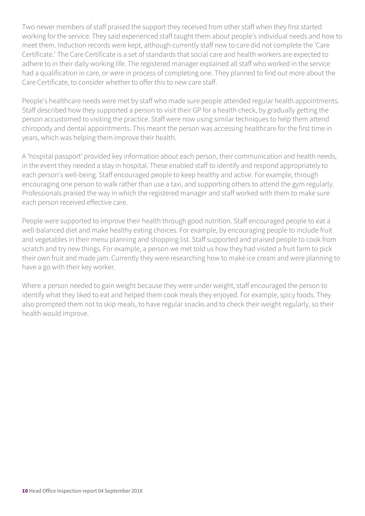Two newer members of staff praised the support they received from other staff when they first started working for the service. They said experienced staff taught them about people's individual needs and how to meet them. Induction records were kept, although currently staff new to care did not complete the 'Care Certificate.' The Care Certificate is a set of standards that social care and health workers are expected to adhere to in their daily working life. The registered manager explained all staff who worked in the service had a qualification in care, or were in process of completing one. They planned to find out more about the Care Certificate, to consider whether to offer this to new care staff.

People's healthcare needs were met by staff who made sure people attended regular health appointments. Staff described how they supported a person to visit their GP for a health check, by gradually getting the person accustomed to visiting the practice. Staff were now using similar techniques to help them attend chiropody and dental appointments. This meant the person was accessing healthcare for the first time in years, which was helping them improve their health.

A 'hospital passport' provided key information about each person, their communication and health needs, in the event they needed a stay in hospital. These enabled staff to identify and respond appropriately to each person's well-being. Staff encouraged people to keep healthy and active. For example, through encouraging one person to walk rather than use a taxi, and supporting others to attend the gym regularly. Professionals praised the way in which the registered manager and staff worked with them to make sure each person received effective care.

People were supported to improve their health through good nutrition. Staff encouraged people to eat a well-balanced diet and make healthy eating choices. For example, by encouraging people to include fruit and vegetables in their menu planning and shopping list. Staff supported and praised people to cook from scratch and try new things. For example, a person we met told us how they had visited a fruit farm to pick their own fruit and made jam. Currently they were researching how to make ice cream and were planning to have a go with their key worker.

Where a person needed to gain weight because they were under weight, staff encouraged the person to identify what they liked to eat and helped them cook meals they enjoyed. For example, spicy foods. They also prompted them not to skip meals, to have regular snacks and to check their weight regularly, so their health would improve.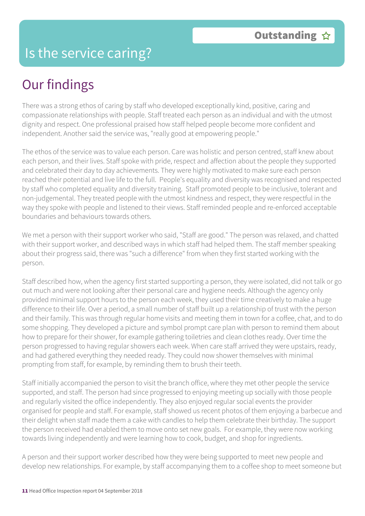#### Is the service caring?

## Our findings

There was a strong ethos of caring by staff who developed exceptionally kind, positive, caring and compassionate relationships with people. Staff treated each person as an individual and with the utmost dignity and respect. One professional praised how staff helped people become more confident and independent. Another said the service was, "really good at empowering people."

The ethos of the service was to value each person. Care was holistic and person centred, staff knew about each person, and their lives. Staff spoke with pride, respect and affection about the people they supported and celebrated their day to day achievements. They were highly motivated to make sure each person reached their potential and live life to the full. People's equality and diversity was recognised and respected by staff who completed equality and diversity training. Staff promoted people to be inclusive, tolerant and non-judgemental. They treated people with the utmost kindness and respect, they were respectful in the way they spoke with people and listened to their views. Staff reminded people and re-enforced acceptable boundaries and behaviours towards others.

We met a person with their support worker who said, "Staff are good." The person was relaxed, and chatted with their support worker, and described ways in which staff had helped them. The staff member speaking about their progress said, there was "such a difference" from when they first started working with the person.

Staff described how, when the agency first started supporting a person, they were isolated, did not talk or go out much and were not looking after their personal care and hygiene needs. Although the agency only provided minimal support hours to the person each week, they used their time creatively to make a huge difference to their life. Over a period, a small number of staff built up a relationship of trust with the person and their family. This was through regular home visits and meeting them in town for a coffee, chat, and to do some shopping. They developed a picture and symbol prompt care plan with person to remind them about how to prepare for their shower, for example gathering toiletries and clean clothes ready. Over time the person progressed to having regular showers each week. When care staff arrived they were upstairs, ready, and had gathered everything they needed ready. They could now shower themselves with minimal prompting from staff, for example, by reminding them to brush their teeth.

Staff initially accompanied the person to visit the branch office, where they met other people the service supported, and staff. The person had since progressed to enjoying meeting up socially with those people and regularly visited the office independently. They also enjoyed regular social events the provider organised for people and staff. For example, staff showed us recent photos of them enjoying a barbecue and their delight when staff made them a cake with candles to help them celebrate their birthday. The support the person received had enabled them to move onto set new goals. For example, they were now working towards living independently and were learning how to cook, budget, and shop for ingredients.

A person and their support worker described how they were being supported to meet new people and develop new relationships. For example, by staff accompanying them to a coffee shop to meet someone but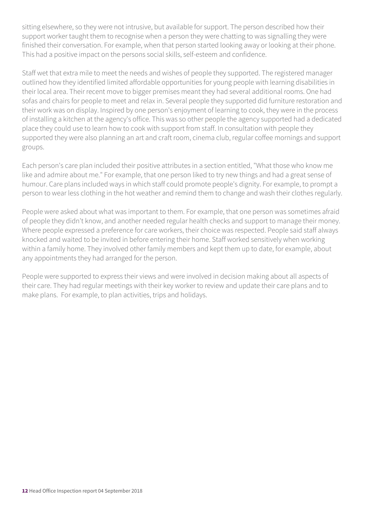sitting elsewhere, so they were not intrusive, but available for support. The person described how their support worker taught them to recognise when a person they were chatting to was signalling they were finished their conversation. For example, when that person started looking away or looking at their phone. This had a positive impact on the persons social skills, self-esteem and confidence.

Staff wet that extra mile to meet the needs and wishes of people they supported. The registered manager outlined how they identified limited affordable opportunities for young people with learning disabilities in their local area. Their recent move to bigger premises meant they had several additional rooms. One had sofas and chairs for people to meet and relax in. Several people they supported did furniture restoration and their work was on display. Inspired by one person's enjoyment of learning to cook, they were in the process of installing a kitchen at the agency's office. This was so other people the agency supported had a dedicated place they could use to learn how to cook with support from staff. In consultation with people they supported they were also planning an art and craft room, cinema club, regular coffee mornings and support groups.

Each person's care plan included their positive attributes in a section entitled, "What those who know me like and admire about me." For example, that one person liked to try new things and had a great sense of humour. Care plans included ways in which staff could promote people's dignity. For example, to prompt a person to wear less clothing in the hot weather and remind them to change and wash their clothes regularly.

People were asked about what was important to them. For example, that one person was sometimes afraid of people they didn't know, and another needed regular health checks and support to manage their money. Where people expressed a preference for care workers, their choice was respected. People said staff always knocked and waited to be invited in before entering their home. Staff worked sensitively when working within a family home. They involved other family members and kept them up to date, for example, about any appointments they had arranged for the person.

People were supported to express their views and were involved in decision making about all aspects of their care. They had regular meetings with their key worker to review and update their care plans and to make plans. For example, to plan activities, trips and holidays.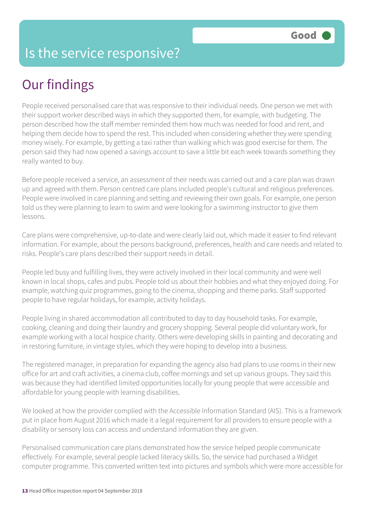#### Is the service responsive?

## Our findings

People received personalised care that was responsive to their individual needs. One person we met with their support worker described ways in which they supported them, for example, with budgeting. The person described how the staff member reminded them how much was needed for food and rent, and helping them decide how to spend the rest. This included when considering whether they were spending money wisely. For example, by getting a taxi rather than walking which was good exercise for them. The person said they had now opened a savings account to save a little bit each week towards something they really wanted to buy.

Before people received a service, an assessment of their needs was carried out and a care plan was drawn up and agreed with them. Person centred care plans included people's cultural and religious preferences. People were involved in care planning and setting and reviewing their own goals. For example, one person told us they were planning to learn to swim and were looking for a swimming instructor to give them lessons.

Care plans were comprehensive, up-to-date and were clearly laid out, which made it easier to find relevant information. For example, about the persons background, preferences, health and care needs and related to risks. People's care plans described their support needs in detail.

People led busy and fulfilling lives, they were actively involved in their local community and were well known in local shops, cafes and pubs. People told us about their hobbies and what they enjoyed doing. For example, watching quiz programmes, going to the cinema, shopping and theme parks. Staff supported people to have regular holidays, for example, activity holidays.

People living in shared accommodation all contributed to day to day household tasks. For example, cooking, cleaning and doing their laundry and grocery shopping. Several people did voluntary work, for example working with a local hospice charity. Others were developing skills in painting and decorating and in restoring furniture, in vintage styles, which they were hoping to develop into a business.

The registered manager, in preparation for expanding the agency also had plans to use rooms in their new office for art and craft activities, a cinema club, coffee mornings and set up various groups. They said this was because they had identified limited opportunities locally for young people that were accessible and affordable for young people with learning disabilities.

We looked at how the provider complied with the Accessible Information Standard (AIS). This is a framework put in place from August 2016 which made it a legal requirement for all providers to ensure people with a disability or sensory loss can access and understand information they are given.

Personalised communication care plans demonstrated how the service helped people communicate effectively. For example, several people lacked literacy skills. So, the service had purchased a Widget computer programme. This converted written text into pictures and symbols which were more accessible for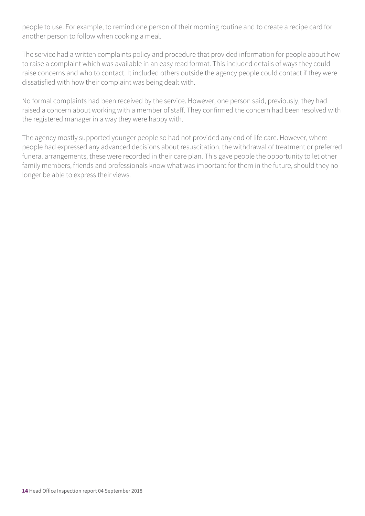people to use. For example, to remind one person of their morning routine and to create a recipe card for another person to follow when cooking a meal.

The service had a written complaints policy and procedure that provided information for people about how to raise a complaint which was available in an easy read format. This included details of ways they could raise concerns and who to contact. It included others outside the agency people could contact if they were dissatisfied with how their complaint was being dealt with.

No formal complaints had been received by the service. However, one person said, previously, they had raised a concern about working with a member of staff. They confirmed the concern had been resolved with the registered manager in a way they were happy with.

The agency mostly supported younger people so had not provided any end of life care. However, where people had expressed any advanced decisions about resuscitation, the withdrawal of treatment or preferred funeral arrangements, these were recorded in their care plan. This gave people the opportunity to let other family members, friends and professionals know what was important for them in the future, should they no longer be able to express their views.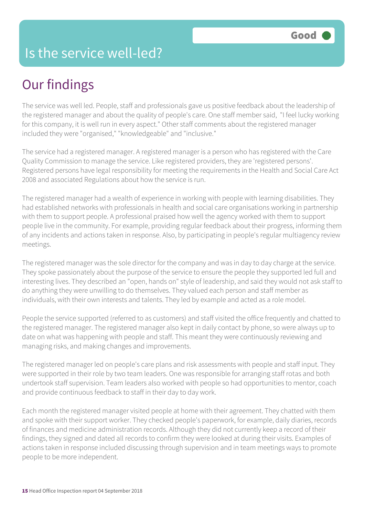## Our findings

The service was well led. People, staff and professionals gave us positive feedback about the leadership of the registered manager and about the quality of people's care. One staff member said, "I feel lucky working for this company, it is well run in every aspect." Other staff comments about the registered manager included they were "organised," "knowledgeable" and "inclusive."

The service had a registered manager. A registered manager is a person who has registered with the Care Quality Commission to manage the service. Like registered providers, they are 'registered persons'. Registered persons have legal responsibility for meeting the requirements in the Health and Social Care Act 2008 and associated Regulations about how the service is run.

The registered manager had a wealth of experience in working with people with learning disabilities. They had established networks with professionals in health and social care organisations working in partnership with them to support people. A professional praised how well the agency worked with them to support people live in the community. For example, providing regular feedback about their progress, informing them of any incidents and actions taken in response. Also, by participating in people's regular multiagency review meetings.

The registered manager was the sole director for the company and was in day to day charge at the service. They spoke passionately about the purpose of the service to ensure the people they supported led full and interesting lives. They described an "open, hands on" style of leadership, and said they would not ask staff to do anything they were unwilling to do themselves. They valued each person and staff member as individuals, with their own interests and talents. They led by example and acted as a role model.

People the service supported (referred to as customers) and staff visited the office frequently and chatted to the registered manager. The registered manager also kept in daily contact by phone, so were always up to date on what was happening with people and staff. This meant they were continuously reviewing and managing risks, and making changes and improvements.

The registered manager led on people's care plans and risk assessments with people and staff input. They were supported in their role by two team leaders. One was responsible for arranging staff rotas and both undertook staff supervision. Team leaders also worked with people so had opportunities to mentor, coach and provide continuous feedback to staff in their day to day work.

Each month the registered manager visited people at home with their agreement. They chatted with them and spoke with their support worker. They checked people's paperwork, for example, daily diaries, records of finances and medicine administration records. Although they did not currently keep a record of their findings, they signed and dated all records to confirm they were looked at during their visits. Examples of actions taken in response included discussing through supervision and in team meetings ways to promote people to be more independent.